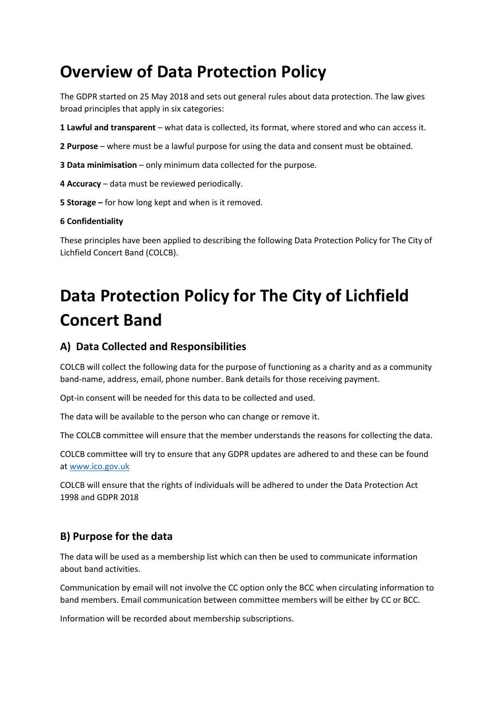## **Overview of Data Protection Policy**

The GDPR started on 25 May 2018 and sets out general rules about data protection. The law gives broad principles that apply in six categories:

- **1 Lawful and transparent** what data is collected, its format, where stored and who can access it.
- **2 Purpose** where must be a lawful purpose for using the data and consent must be obtained.
- **3 Data minimisation** only minimum data collected for the purpose.
- **4 Accuracy** data must be reviewed periodically.
- **5 Storage –** for how long kept and when is it removed.

#### **6 Confidentiality**

These principles have been applied to describing the following Data Protection Policy for The City of Lichfield Concert Band (COLCB).

# **Data Protection Policy for The City of Lichfield Concert Band**

#### **A) Data Collected and Responsibilities**

COLCB will collect the following data for the purpose of functioning as a charity and as a community band-name, address, email, phone number. Bank details for those receiving payment.

Opt-in consent will be needed for this data to be collected and used.

The data will be available to the person who can change or remove it.

The COLCB committee will ensure that the member understands the reasons for collecting the data.

COLCB committee will try to ensure that any GDPR updates are adhered to and these can be found a[t www.ico.gov.uk](http://www.ico.gov.uk/)

COLCB will ensure that the rights of individuals will be adhered to under the Data Protection Act 1998 and GDPR 2018

#### **B) Purpose for the data**

The data will be used as a membership list which can then be used to communicate information about band activities.

Communication by email will not involve the CC option only the BCC when circulating information to band members. Email communication between committee members will be either by CC or BCC.

Information will be recorded about membership subscriptions.